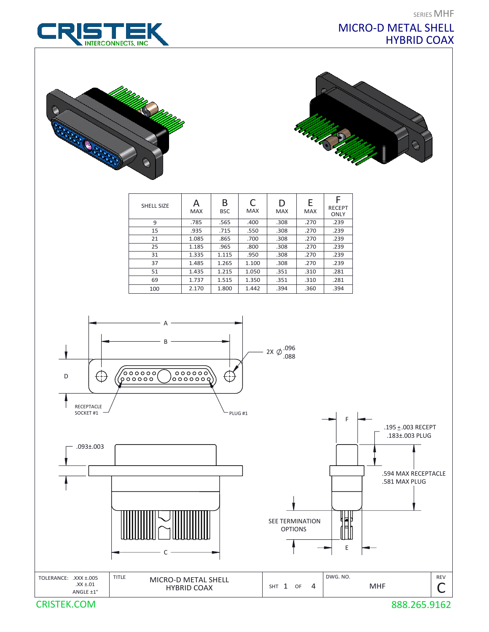SERIES MHF

## MICRO-D METAL SHELL HYBRID COAX







| <b>SHELL SIZE</b> | <b>MAX</b> | B<br><b>BSC</b> | C<br><b>MAX</b> | D<br><b>MAX</b> | E<br><b>MAX</b> | <b>RECEPT</b><br><b>ONLY</b> |
|-------------------|------------|-----------------|-----------------|-----------------|-----------------|------------------------------|
| 9                 | .785       | .565            | .400            | .308            | .270            | .239                         |
| 15                | .935       | .715            | .550            | .308            | .270            | .239                         |
| 21                | 1.085      | .865            | .700            | .308            | .270            | .239                         |
| 25                | 1.185      | .965            | .800            | .308            | .270            | .239                         |
| 31                | 1.335      | 1.115           | .950            | .308            | .270            | .239                         |
| 37                | 1.485      | 1.265           | 1.100           | .308            | .270            | .239                         |
| 51                | 1.435      | 1.215           | 1.050           | .351            | .310            | .281                         |
| 69                | 1.737      | 1.515           | 1.350           | .351            | .310            | .281                         |
| 100               | 2.170      | 1.800           | 1.442           | .394            | .360            | .394                         |





CRISTEK.COM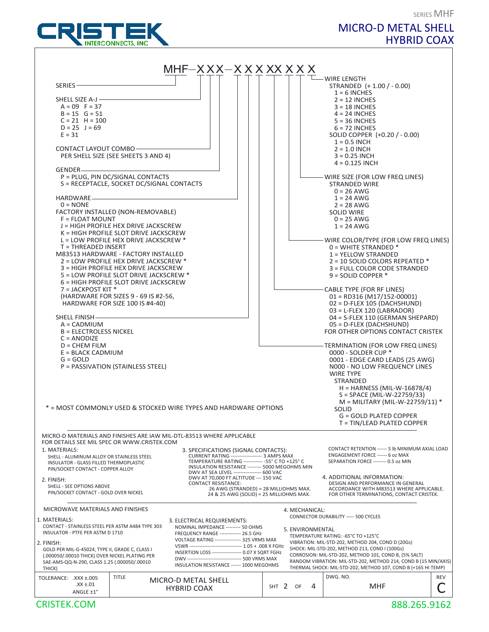

# MICRO-D METAL SHELL HYBRID COAX

SERIES MHF

|                                                                                                |                                           | $MHF–XXX–X$ $X$ $X$ $X$ $X$ $X$ $X$ $X$ $X$                                                                   |         |                  |                                                                                                                          |     |
|------------------------------------------------------------------------------------------------|-------------------------------------------|---------------------------------------------------------------------------------------------------------------|---------|------------------|--------------------------------------------------------------------------------------------------------------------------|-----|
|                                                                                                |                                           |                                                                                                               |         |                  | – WIRE LENGTH                                                                                                            |     |
| SERIES-                                                                                        |                                           |                                                                                                               |         |                  | STRANDED (+1.00 / -0.00)<br>$1 = 6$ INCHES                                                                               |     |
| SHELL SIZE A-J-                                                                                |                                           |                                                                                                               |         |                  | $2 = 12$ INCHES                                                                                                          |     |
| $A = 09$ F = 37<br>$B = 15$ $G = 51$                                                           |                                           |                                                                                                               |         |                  | $3 = 18$ INCHES<br>$4 = 24$ INCHES                                                                                       |     |
| $C = 21$ H = 100                                                                               |                                           |                                                                                                               |         |                  | $5 = 36$ INCHES                                                                                                          |     |
| $D = 25$ J = 69<br>$E = 31$                                                                    |                                           |                                                                                                               |         |                  | $6 = 72$ INCHES                                                                                                          |     |
|                                                                                                |                                           |                                                                                                               |         |                  | SOLID COPPER (+0.20 / - 0.00)<br>$1 = 0.5$ INCH                                                                          |     |
| CONTACT LAYOUT COMBO-                                                                          |                                           |                                                                                                               |         |                  | $2 = 1.0$ INCH                                                                                                           |     |
|                                                                                                | PER SHELL SIZE (SEE SHEETS 3 AND 4)       |                                                                                                               |         |                  | $3 = 0.25$ INCH                                                                                                          |     |
| GENDER-                                                                                        |                                           |                                                                                                               |         |                  | $4 = 0.125$ INCH                                                                                                         |     |
|                                                                                                | P = PLUG, PIN DC/SIGNAL CONTACTS          |                                                                                                               |         |                  | - WIRE SIZE (FOR LOW FREQ LINES)                                                                                         |     |
|                                                                                                | S = RECEPTACLE, SOCKET DC/SIGNAL CONTACTS |                                                                                                               |         |                  | <b>STRANDED WIRE</b>                                                                                                     |     |
| HARDWARE_                                                                                      |                                           |                                                                                                               |         |                  | $0 = 26$ AWG<br>$1 = 24$ AWG                                                                                             |     |
| $0 = \text{NONE}$                                                                              |                                           |                                                                                                               |         |                  | $2 = 28$ AWG                                                                                                             |     |
| FACTORY INSTALLED (NON-REMOVABLE)                                                              |                                           |                                                                                                               |         |                  | <b>SOLID WIRE</b>                                                                                                        |     |
| $F = FLOAT MOUNT$                                                                              | J = HIGH PROFILE HEX DRIVE JACKSCREW      |                                                                                                               |         |                  | $0 = 25$ AWG<br>$1 = 24$ AWG                                                                                             |     |
|                                                                                                | K = HIGH PROFILE SLOT DRIVE JACKSCREW     |                                                                                                               |         |                  |                                                                                                                          |     |
|                                                                                                | $L =$ LOW PROFILE HEX DRIVE JACKSCREW $*$ |                                                                                                               |         |                  | - WIRE COLOR/TYPE (FOR LOW FREQ LINES)                                                                                   |     |
| $T = THREADER$ INSERT                                                                          |                                           |                                                                                                               |         |                  | $0 =$ WHITE STRANDED $*$                                                                                                 |     |
| M83513 HARDWARE - FACTORY INSTALLED                                                            | 2 = LOW PROFILE HEX DRIVE JACKSCREW *     |                                                                                                               |         |                  | 1 = YELLOW STRANDED<br>$2 = 10$ SOLID COLORS REPEATED $*$                                                                |     |
|                                                                                                | 3 = HIGH PROFILE HEX DRIVE JACKSCREW      |                                                                                                               |         |                  | 3 = FULL COLOR CODE STRANDED                                                                                             |     |
|                                                                                                | 5 = LOW PROFILE SLOT DRIVE JACKSCREW *    |                                                                                                               |         |                  | $9 = SOLID COPPER*$                                                                                                      |     |
| $7 =$ JACKPOST KIT $*$                                                                         | 6 = HIGH PROFILE SLOT DRIVE JACKSCREW     |                                                                                                               |         |                  | CABLE TYPE (FOR RF LINES)                                                                                                |     |
|                                                                                                | (HARDWARE FOR SIZES 9 - 69 IS #2-56,      |                                                                                                               |         |                  | $01 = RD316 (M17/152-00001)$                                                                                             |     |
|                                                                                                | HARDWARE FOR SIZE 100 IS #4-40)           |                                                                                                               |         |                  | $02 = D$ -FLEX 105 (DACHSHUND)                                                                                           |     |
|                                                                                                |                                           |                                                                                                               |         |                  | $03 = L$ -FLEX 120 (LABRADOR)                                                                                            |     |
| <b>SHELL FINISH-</b><br>$A = CADMIUM$                                                          |                                           |                                                                                                               |         |                  | 04 = S-FLEX 110 (GERMAN SHEPARD)<br>05 = D-FLEX (DACHSHUND)                                                              |     |
| <b>B = ELECTROLESS NICKEL</b>                                                                  |                                           |                                                                                                               |         |                  | FOR OTHER OPTIONS CONTACT CRISTEK                                                                                        |     |
| $C = ANODIZE$                                                                                  |                                           |                                                                                                               |         |                  |                                                                                                                          |     |
| $D = CHEM$ FILM<br>$E = BLACK CADMIUM$                                                         |                                           |                                                                                                               |         |                  | - TERMINATION (FOR LOW FREQ LINES)<br>0000 - SOLDER CUP *                                                                |     |
| $G = GOLD$                                                                                     |                                           |                                                                                                               |         |                  | 0001 - EDGE CARD LEADS (25 AWG)                                                                                          |     |
|                                                                                                | P = PASSIVATION (STAINLESS STEEL)         |                                                                                                               |         |                  | NOOO - NO LOW FREQUENCY LINES                                                                                            |     |
|                                                                                                |                                           |                                                                                                               |         |                  | <b>WIRE TYPE</b>                                                                                                         |     |
|                                                                                                |                                           |                                                                                                               |         |                  | <b>STRANDED</b><br>$H = HARNESS (MIL-W-16878/4)$                                                                         |     |
|                                                                                                |                                           |                                                                                                               |         |                  | S = SPACE (MIL-W-22759/33)                                                                                               |     |
|                                                                                                |                                           | * = MOST COMMONLY USED & STOCKED WIRE TYPES AND HARDWARE OPTIONS                                              |         |                  | $M = MILITARY (MIL-W-22759/11)$ *                                                                                        |     |
|                                                                                                |                                           |                                                                                                               |         |                  | <b>SOLID</b><br><b>G = GOLD PLATED COPPER</b>                                                                            |     |
|                                                                                                |                                           |                                                                                                               |         |                  | $T = TIN/LEAD PLATED COPPER$                                                                                             |     |
|                                                                                                |                                           | MICRO-D MATERIALS AND FINISHES ARE IAW MIL-DTL-83513 WHERE APPLICABLE                                         |         |                  |                                                                                                                          |     |
| FOR DETAILS SEE MIL SPEC OR WWW.CRISTEK.COM                                                    |                                           |                                                                                                               |         |                  |                                                                                                                          |     |
| 1. MATERIALS:                                                                                  |                                           | 3. SPECIFICATIONS (SIGNAL CONTACTS):                                                                          |         |                  | CONTACT RETENTION ------ 5 lb MINIMUM AXIAL LOAD                                                                         |     |
| SHELL - ALUMINUM ALLOY OR STAINLESS STEEL<br>INSULATOR - GLASS FILLED THERMOPLASTIC            |                                           | CURRENT RATING ------------------ 3 AMPS MAX<br>TEMPERATURE RATING ----------- - 55° C TO +125° C             |         |                  | ENGAGEMENT FORCE ------ 6 oz MAX<br>SEPARATION FORCE -------- 0.5 oz MIN                                                 |     |
| PIN/SOCKET CONTACT - COPPER ALLOY                                                              |                                           | INSULATION RESISTANCE -------- 5000 MEGOHMS MIN                                                               |         |                  |                                                                                                                          |     |
| 2. FINISH:                                                                                     |                                           | DWV AT SEA LEVEL ---------------- 600 VAC<br>DWV AT 70,000 FT ALTITUDE --- 150 VAC                            |         |                  | 4. ADDITIONAL INFORMATION:                                                                                               |     |
| SHELL - SEE OPTIONS ABOVE                                                                      |                                           | <b>CONTACT RESISTANCE:</b><br>26 AWG (STRANDED) = 28 MILLIOHMS MAX.                                           |         |                  | DESIGN AND PERFORMANCE IN GENERAL<br>ACCORDANCE WITH M83513 WHERE APPLICABLE.                                            |     |
| PIN/SOCKET CONTACT - GOLD OVER NICKEL                                                          |                                           | 24 & 25 AWG (SOLID) = 25 MILLIOHMS MAX.                                                                       |         |                  | FOR OTHER TERMINATIONS, CONTACT CRISTEK.                                                                                 |     |
|                                                                                                |                                           |                                                                                                               |         |                  |                                                                                                                          |     |
| MICROWAVE MATERIALS AND FINISHES                                                               |                                           |                                                                                                               |         | 4. MECHANICAL:   | CONNECTOR DURABILITY ----- 500 CYCLES                                                                                    |     |
| 1. MATERIALS:                                                                                  |                                           | 3. ELECTRICAL REQUIREMENTS:                                                                                   |         |                  |                                                                                                                          |     |
| CONTACT - STAINLESS STEEL PER ASTM A484 TYPE 303<br>INSULATOR - PTFE PER ASTM D 1710           |                                           | NOMINAL IMPEDANCE --------- 50 OHMS<br>FREQUENCY RANGE ------------- 26.5 GHz                                 |         | 5. ENVIRONMENTAL |                                                                                                                          |     |
| 2. FINISH:                                                                                     |                                           | VOLTAGE RATING --------------- 325 VRMS MAX                                                                   |         |                  | TEMPERATURE RATING: -65°C TO +125°C<br>VIBRATION: MIL-STD-202, METHOD 204, COND D (20Gs)                                 |     |
| GOLD PER MIL-G-45024, TYPE II, GRADE C, CLASS I                                                |                                           | VSWR ------------------------------- 1.05 + .008 X FGHz<br>INSERTION LOSS ------------------ 0.07 X SQRT FGHz |         |                  | SHOCK: MIL-STD-202, METHOD 213, COND I (100Gs)                                                                           |     |
| (.000050/.00010 THICK) OVER NICKEL PLATING PER<br>SAE-AMS-QQ-N-290, CLASS 1.25 (.000050/.00010 |                                           | DWV --------------------------------- 500 VRMS MAX                                                            |         |                  | CORROSION: MIL-STD-202, METHOD 101, COND B, (5% SALT)<br>RANDOM VIBRATION: MIL-STD-202, METHOD 214, COND B (15 MIN/AXIS) |     |
| THICK)                                                                                         |                                           | INSULATION RESISTANCE ------ 1000 MEGOHMS                                                                     |         |                  | THERMAL SHOCK: MIL-STD-202, METHOD 107, COND B (+165 HI TEMP)                                                            |     |
| TOLERANCE: .XXX ±.005                                                                          | <b>TITLE</b>                              | MICRO-D METAL SHELL                                                                                           |         |                  | DWG. NO.                                                                                                                 | REV |
| .XX ±.01                                                                                       |                                           | <b>HYBRID COAX</b>                                                                                            | SHT $2$ | 4<br>OF          | <b>MHF</b>                                                                                                               |     |
| ANGLE ±1°                                                                                      |                                           |                                                                                                               |         |                  |                                                                                                                          |     |

#### CRISTEK.COM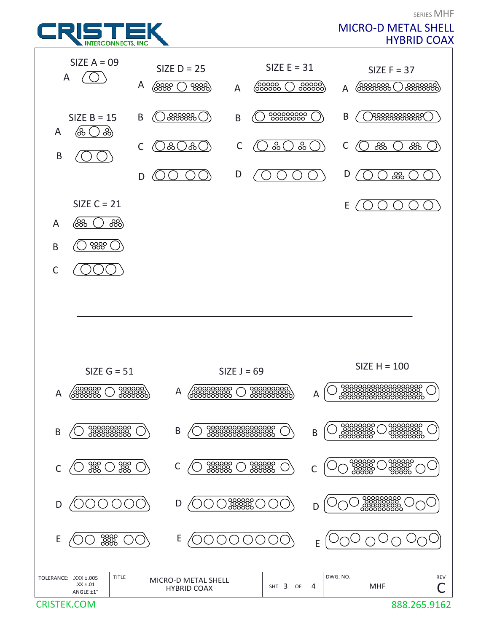

**CRISTEK.COM**